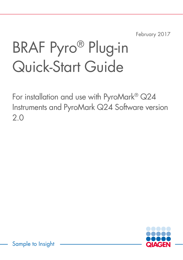February 2017

# BRAF Pyro® Plug-in Quick-Start Guide

For installation and use with PyroMark® Q24 Instruments and PyroMark Q24 Software version 2.0



Sample to Insight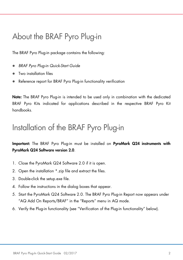# About the BRAF Pyro Plug-in

The BRAF Pyro Plug-in package contains the following:

- *BRAF Pyro Plug-in Quick-Start Guide*
- Two installation files
- Reference report for BRAF Pyro Plug-in functionality verification

Note: The BRAF Pyro Plug-in is intended to be used only in combination with the dedicated BRAF Pyro Kits indicated for applications described in the respective BRAF Pyro Kit handbooks.

# Installation of the BRAF Pyro Plug-in

Important: The BRAF Pyro Plug-in must be installed on PyroMark Q24 instruments with PyroMark Q24 Software version 2.0.

- 1. Close the PyroMark Q24 Software 2.0 if it is open.
- 2. Open the installation \*.zip file and extract the files.
- 3. Double-click the setup.exe file.
- 4. Follow the instructions in the dialog boxes that appear.
- 5. Start the PyroMark Q24 Software 2.0. The BRAF Pyro Plug-in Report now appears under "AQ Add On Reports/BRAF" in the "Reports" menu in AQ mode.
- 6. Verify the Plug-in functionality (see "Verification of the Plug-in functionality" below).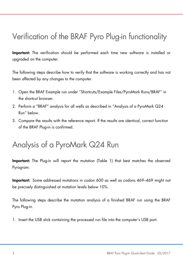# Verification of the BRAF Pyro Plug-in functionality

Important: The verification should be performed each time new software is installed or upgraded on the computer.

The following steps describe how to verify that the software is working correctly and has not been affected by any changes to the computer.

- 1. Open the BRAF Example run under "Shortcuts/Example Files/PyroMark Runs/BRAF" in the shortcut browser.
- 2. Perform a "BRAF" analysis for all wells as described in "Analysis of a PyroMark Q24 Run" below.
- 3. Compare the results with the reference report. If the results are identical, correct function of the BRAF Plug-in is confirmed.

### Analysis of a PyroMark Q24 Run

Important: The Plug-in will report the mutation (Table 1) that best matches the observed Pyrogram.

Important: Some addressed mutations in codon 600 as well as codons 469–469 might not be precisely distinguished at mutation levels below 10%.

The following steps describe the mutation analysis of a finished BRAF run using the BRAF Pyro Plug-in.

1. Insert the USB stick containing the processed run file into the computer's USB port.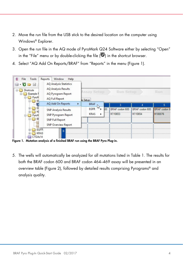- 2. Move the run file from the USB stick to the desired location on the computer using Windows® Explorer.
- 3. Open the run file in the AQ mode of PyroMark Q24 Software either by selecting "Open" in the "File" menu or by double-clicking the file  $(\bullet)$  in the shortcut browser.
- 4. Select "AQ Add On Reports/BRAF" from "Reports" in the menu (Figure 1).



Figure 1. Mutation analysis of a finished BRAF run using the BRAF Pyro Plug-in.

5. The wells will automatically be analyzed for all mutations listed in Table 1. The results for both the BRAF codon 600 and BRAF codon 464–469 assay will be presented in an overview table (Figure 2), followed by detailed results comprising Pyrograms® and analysis quality.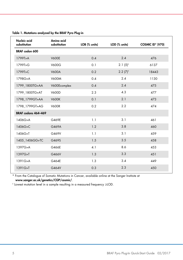| Nucleic acid<br>substitution | Amino acid<br>substitution | LOD (% units)<br>LOB (% units) |               | COSMIC ID* (V70) |  |
|------------------------------|----------------------------|--------------------------------|---------------|------------------|--|
| BRAF codon 600               |                            |                                |               |                  |  |
| 1799T > A                    | <b>V600E</b>               | 0.4                            | 2.4           | 476              |  |
| 1799T>G                      | <b>V600G</b>               | 0.1                            | $2.1(5)^{t}$  | 6137             |  |
| 1799T>C                      | <b>V600A</b>               | 0.2                            | $2.2 (7)^{+}$ | 18443            |  |
| 1798G>A                      | <b>V600M</b>               | 0.4                            | 2.4           | 1130             |  |
| 1799_1800TG>AA               | V600Ecomplex               | 0.4                            | 2.4           | 475              |  |
| 1799 1800TG>AT               | <b>V600D</b>               | 2.3                            | 4.3           | 477              |  |
| 1798_1799GT>AA               | <b>V600K</b>               | 0.1                            | 2.1           | 473              |  |
| 1798 1799GT>AG               | <b>V600R</b>               | 0.2                            | 2.2           | 474              |  |
| BRAF codons 464-469          |                            |                                |               |                  |  |
| 1406G>A                      | G469E                      | 1.1                            | 3.1           | 461              |  |
| 1406G>C                      | G469A                      | 1.2                            | 3.8           | 460              |  |
| 1406G>T                      | G469V                      | 1.1                            | 3.1           | 459              |  |
| 1405_1406GG>TC               | G469S                      | 1.5                            | 3.5           | 458              |  |
| 1397G>A                      | G466E                      | 4.1                            | 8.6           | 453              |  |
| 1397G>T                      | G466V                      | 1.3                            | 3.3           | 451              |  |
| 1391G > A                    | G464E                      | 1.3                            | 3.4           | 449              |  |
| 1391G > T                    | G464V                      | 0.3                            | 2.3           | 450              |  |

Table 1. Mutations analyzed by the BRAF Pyro Plug-in

\* From the Catalogue of Somatic Mutations in Cancer, available online at the Sanger Institute at www.sanger.ac.uk/genetics/CGP/cosmic/.

† Lowest mutation level in a sample resulting in a measured frequency ≥LOD.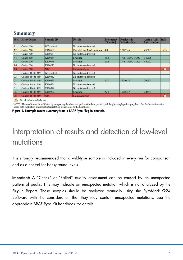| Well                                 | <b>Assay Name</b> | <b>Sample ID</b> | <b>Result</b>                | Frequency<br>[% units] | <b>Nucleotide</b><br><b>Substitution</b> | <b>Amino Acid</b><br><b>Substitution</b> | Info       |
|--------------------------------------|-------------------|------------------|------------------------------|------------------------|------------------------------------------|------------------------------------------|------------|
| A1                                   | Codon 600         | WT control       | No mutation detected         |                        |                                          |                                          |            |
| A2                                   | Codon 600         | K110652          | Potential low level mutation | 4.8                    | 1799T>A                                  | <b>V600E</b>                             | $\sqrt{1}$ |
| A <sub>3</sub>                       | Codon 600         | K110653          | No mutation detected         |                        |                                          |                                          |            |
| A4                                   | Codon 600         | K110654          | Mutation                     | 34.6                   | 1798 1799GT>AG                           | <b>V600R</b>                             |            |
| A5                                   | Codon 600         | K100076          | Mutation                     | 26.4                   | 1798 1799GT>AA                           | <b>V600K</b>                             |            |
| A <sub>6</sub>                       | Codon 600         | K110282          | No mutation detected         |                        |                                          |                                          |            |
| A8                                   | Codon 600         | <b>NTC</b>       | <b>Failed Analysis</b>       |                        |                                          |                                          | $\sqrt{ }$ |
| C1                                   | Codons 464 to 469 | WT control       | No mutation detected         |                        |                                          |                                          |            |
| C <sub>2</sub>                       | Codons 464 to 469 | K110652          | No mutation detected         |                        |                                          |                                          |            |
| C <sub>3</sub>                       | Codons 464 to 469 | K110653          | Mutation                     | 29.0                   | 1406G>T                                  | G469V                                    |            |
| C4                                   | Codons 464 to 469 | K110654          | No mutation detected         |                        |                                          |                                          |            |
| C <sub>5</sub>                       | Codons 464 to 469 | K100076          | No mutation detected         |                        |                                          |                                          |            |
| C6                                   | Codons 464 to 469 | K110282          | Mutation                     | 27.8                   | 1391G > A                                | G464E                                    |            |
| $\overline{\text{C8}}$<br>$\sqrt{2}$ | Codons 464 to 469 | <b>NTC</b>       | <b>Failed Analysis</b>       |                        |                                          |                                          | Æ          |

#### **Summary**

See detailed results below.

NOTE: The result must be validated by comparing the observed peaks with the expected peak heights displayed as grey bars. For further information about data evaluation and result interpretation please refer to the handbook.

Figure 2. Example results summary from a BRAF Pyro Plug-in analysis.

# Interpretation of results and detection of low-level mutations

It is strongly recommended that a wild-type sample is included in every run for comparison and as a control for background levels.

Important: A "Check" or "Failed" quality assessment can be caused by an unexpected pattern of peaks. This may indicate an unexpected mutation which is not analyzed by the Plug-in Report. These samples should be analyzed manually using the PyroMark Q24 Software with the consideration that they may contain unexpected mutations. See the appropriate BRAF Pyro Kit handbook for details.